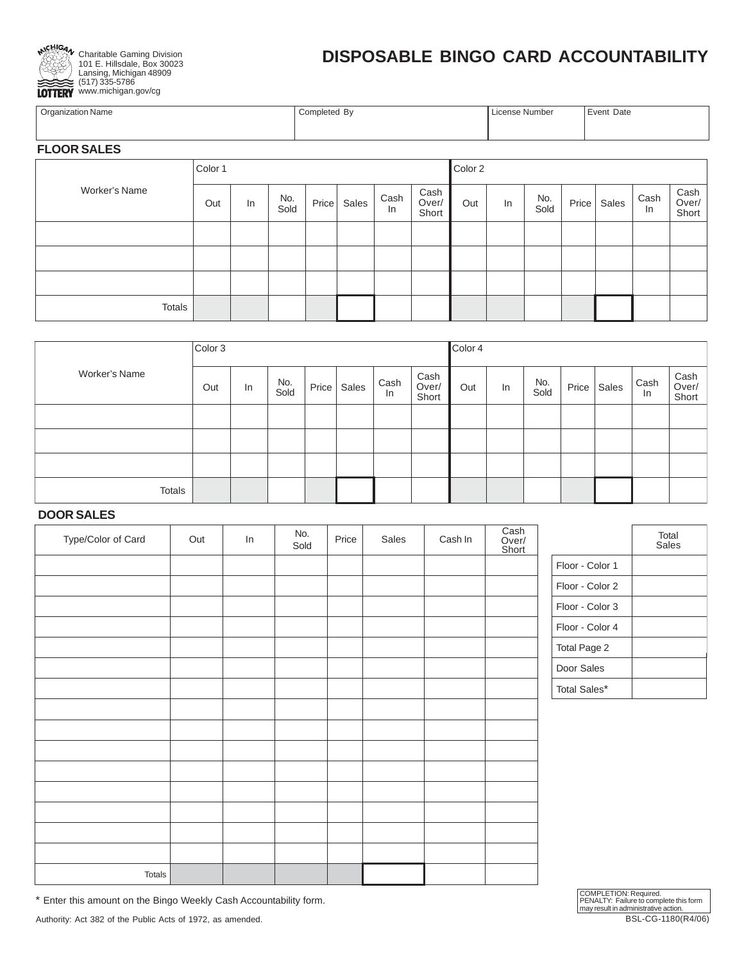

101 E. Hillsdale, Box 30023 Lansing, Michigan 48909 (517) 335-5786 www.michigan.gov/cg

## **DISPOSABLE BINGO CARD ACCOUNTABILITY**

| <b>Organization Name</b> | Completed By | , License Number | Event Date |
|--------------------------|--------------|------------------|------------|
|                          |              |                  |            |

## **FLOOR SALES**

|               | Color 1 |    |             |             |            |                        | Color 2 |    |             |       |       |            |                        |
|---------------|---------|----|-------------|-------------|------------|------------------------|---------|----|-------------|-------|-------|------------|------------------------|
| Worker's Name | Out     | In | No.<br>Sold | Price Sales | Cash<br>In | Cash<br>Over/<br>Short | Out     | In | No.<br>Sold | Price | Sales | Cash<br>In | Cash<br>Over/<br>Short |
|               |         |    |             |             |            |                        |         |    |             |       |       |            |                        |
|               |         |    |             |             |            |                        |         |    |             |       |       |            |                        |
|               |         |    |             |             |            |                        |         |    |             |       |       |            |                        |
| Totals        |         |    |             |             |            |                        |         |    |             |       |       |            |                        |

|               | Color 3 |    |             |       |       |            |                        | Color 4 |    |             |       |       |            |                        |
|---------------|---------|----|-------------|-------|-------|------------|------------------------|---------|----|-------------|-------|-------|------------|------------------------|
| Worker's Name | Out     | In | No.<br>Sold | Price | Sales | Cash<br>In | Cash<br>Over/<br>Short | Out     | In | No.<br>Sold | Price | Sales | Cash<br>In | Cash<br>Over/<br>Short |
|               |         |    |             |       |       |            |                        |         |    |             |       |       |            |                        |
|               |         |    |             |       |       |            |                        |         |    |             |       |       |            |                        |
|               |         |    |             |       |       |            |                        |         |    |             |       |       |            |                        |
| Totals        |         |    |             |       |       |            |                        |         |    |             |       |       |            |                        |

## **DOOR SALES**

| Type/Color of Card | Out | In | No.<br>Sold | Price | Sales | Cash In | Cash<br>Over/<br>Short |                 | Total<br>Sales |
|--------------------|-----|----|-------------|-------|-------|---------|------------------------|-----------------|----------------|
|                    |     |    |             |       |       |         |                        | Floor - Color 1 |                |
|                    |     |    |             |       |       |         |                        | Floor - Color 2 |                |
|                    |     |    |             |       |       |         |                        | Floor - Color 3 |                |
|                    |     |    |             |       |       |         |                        | Floor - Color 4 |                |
|                    |     |    |             |       |       |         |                        | Total Page 2    |                |
|                    |     |    |             |       |       |         |                        | Door Sales      |                |
|                    |     |    |             |       |       |         |                        | Total Sales*    |                |
|                    |     |    |             |       |       |         |                        |                 |                |
|                    |     |    |             |       |       |         |                        |                 |                |
|                    |     |    |             |       |       |         |                        |                 |                |
|                    |     |    |             |       |       |         |                        |                 |                |
|                    |     |    |             |       |       |         |                        |                 |                |
|                    |     |    |             |       |       |         |                        |                 |                |
|                    |     |    |             |       |       |         |                        |                 |                |
|                    |     |    |             |       |       |         |                        |                 |                |
| Totals             |     |    |             |       |       |         |                        |                 |                |

\* Enter this amount on the Bingo Weekly Cash Accountability form.